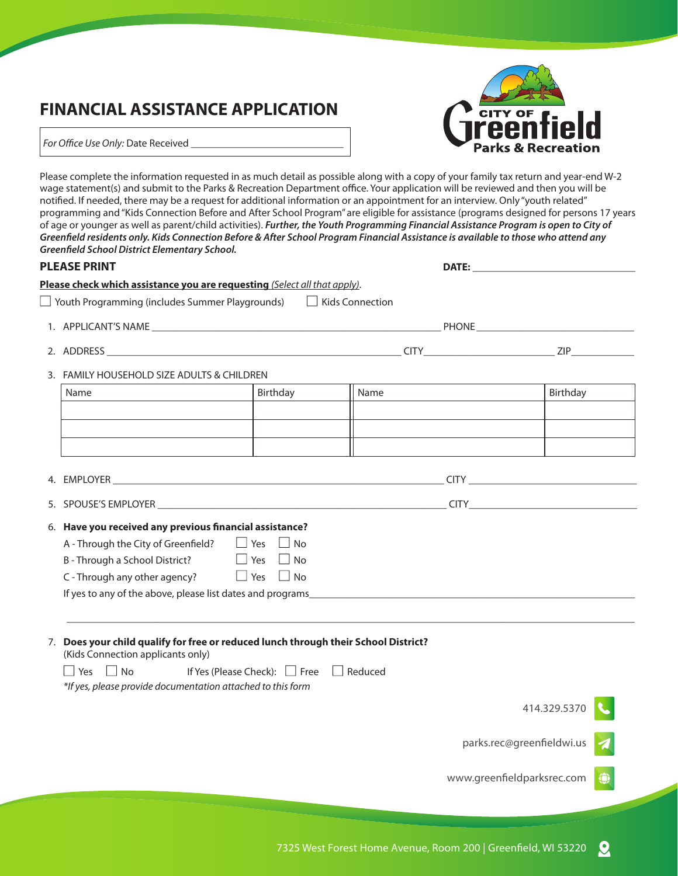## **FINANCIAL ASSISTANCE APPLICATION**



For Office Use Only: Date Received

Please complete the information requested in as much detail as possible along with a copy of your family tax return and year-end W-2 wage statement(s) and submit to the Parks & Recreation Department office. Your application will be reviewed and then you will be notified. If needed, there may be a request for additional information or an appointment for an interview. Only "youth related" programming and "Kids Connection Before and After School Program" are eligible for assistance (programs designed for persons 17 years of age or younger as well as parent/child activities). *Further, the Youth Programming Financial Assistance Program is open to City of Greenfield residents only. Kids Connection Before & After School Program Financial Assistance is available to those who attend any Greenfield School District Elementary School.*

| <b>PLEASE PRINT</b> |                                                                                                                                                                                                                                                                                                      |                                                   | <b>DATE:</b> the contract of the contract of the contract of the contract of the contract of the contract of the contract of the contract of the contract of the contract of the contract of the contract of the contract of the co |                            |                    |
|---------------------|------------------------------------------------------------------------------------------------------------------------------------------------------------------------------------------------------------------------------------------------------------------------------------------------------|---------------------------------------------------|-------------------------------------------------------------------------------------------------------------------------------------------------------------------------------------------------------------------------------------|----------------------------|--------------------|
|                     | Please check which assistance you are requesting (Select all that apply).                                                                                                                                                                                                                            |                                                   |                                                                                                                                                                                                                                     |                            |                    |
|                     | Youth Programming (includes Summer Playgrounds)   Kids Connection                                                                                                                                                                                                                                    |                                                   |                                                                                                                                                                                                                                     |                            |                    |
|                     |                                                                                                                                                                                                                                                                                                      |                                                   |                                                                                                                                                                                                                                     |                            |                    |
|                     |                                                                                                                                                                                                                                                                                                      |                                                   |                                                                                                                                                                                                                                     |                            | ZIP <b>Example</b> |
|                     | 3. FAMILY HOUSEHOLD SIZE ADULTS & CHILDREN                                                                                                                                                                                                                                                           |                                                   |                                                                                                                                                                                                                                     |                            |                    |
| Name                |                                                                                                                                                                                                                                                                                                      | Birthday                                          | Name                                                                                                                                                                                                                                |                            | Birthday           |
|                     |                                                                                                                                                                                                                                                                                                      |                                                   |                                                                                                                                                                                                                                     |                            |                    |
|                     |                                                                                                                                                                                                                                                                                                      |                                                   |                                                                                                                                                                                                                                     |                            |                    |
|                     |                                                                                                                                                                                                                                                                                                      |                                                   |                                                                                                                                                                                                                                     |                            |                    |
|                     |                                                                                                                                                                                                                                                                                                      |                                                   |                                                                                                                                                                                                                                     |                            |                    |
|                     | 5. SPOUSE'S EMPLOYER CONTROL CONTROL CONTROL CITY CONTROL CITY CONTROL CONTROL CONTROL CONTROL CONTROL CONTROL CONTROL CONTROL CONTROL CONTROL CONTROL CONTROL CONTROL CONTROL CONTROL CONTROL CONTROL CONTROL CONTROL CONTROL                                                                       |                                                   |                                                                                                                                                                                                                                     |                            |                    |
|                     | 6. Have you received any previous financial assistance?<br>A - Through the City of Greenfield?<br>$\Box$ Yes $\Box$ No<br>B - Through a School District?<br>$\Box$ Yes $\Box$ No<br>C - Through any other agency? $\Box$ Yes $\Box$ No<br>If yes to any of the above, please list dates and programs |                                                   |                                                                                                                                                                                                                                     |                            |                    |
|                     | 7. Does your child qualify for free or reduced lunch through their School District?<br>(Kids Connection applicants only)                                                                                                                                                                             |                                                   |                                                                                                                                                                                                                                     |                            |                    |
|                     | $\Box$ Yes $\Box$ No<br>*If yes, please provide documentation attached to this form                                                                                                                                                                                                                  | If Yes (Please Check): $\Box$ Free $\Box$ Reduced |                                                                                                                                                                                                                                     |                            |                    |
|                     |                                                                                                                                                                                                                                                                                                      |                                                   |                                                                                                                                                                                                                                     |                            | 414.329.5370       |
|                     |                                                                                                                                                                                                                                                                                                      |                                                   |                                                                                                                                                                                                                                     | parks.rec@greenfieldwi.us  |                    |
|                     |                                                                                                                                                                                                                                                                                                      |                                                   |                                                                                                                                                                                                                                     | www.greenfieldparksrec.com |                    |
|                     |                                                                                                                                                                                                                                                                                                      |                                                   |                                                                                                                                                                                                                                     |                            |                    |